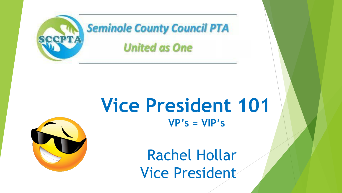

## **Vice President 101 VP's = VIP's**



Rachel Hollar Vice President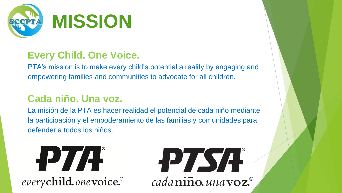

#### **Every Child. One Voice.**

PTA's mission is to make every child's potential a reality by engaging and empowering families and communities to advocate for all children.

#### **Cada niño. Una voz.**

La misión de la PTA es hacer realidad el potencial de cada niño mediante la participación y el empoderamiento de las familias y comunidades para defender a todos los niños.



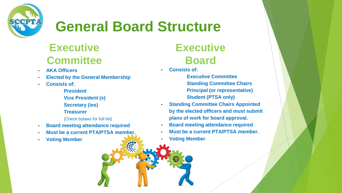

## **General Board Structure**

## **Executive Committee**

- **AKA Officers**
- **Elected by the General Membership**
- **Consists of:**
	- **President**
	- **Vice President (s)**
	- **Secretary (ies)**
	- **Treasurer**
	- (Check bylaws for full list)
- **Board meeting attendance required**
- **Must be a current PTA/PTSA member.**
- **Voting Member**

## **Executive Board**

• **Consists of:**

**Executive Committee Standing Committee Chairs Principal (or representative) Student (PTSA only)**

- **Standing Committee Chairs Appointed by the elected officers and must submit plans of work for board approval.**
- **Board meeting attendance required**
- **Must be a current PTA/PTSA member.**
- **Voting Member**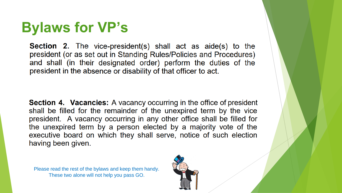## **Bylaws for VP's**

**Section 2.** The vice-president(s) shall act as aide(s) to the president (or as set out in Standing Rules/Policies and Procedures) and shall (in their designated order) perform the duties of the president in the absence or disability of that officer to act.

**Section 4. Vacancies:** A vacancy occurring in the office of president shall be filled for the remainder of the unexpired term by the vice president. A vacancy occurring in any other office shall be filled for the unexpired term by a person elected by a majority vote of the executive board on which they shall serve, notice of such election having been given.

Please read the rest of the bylaws and keep them handy. These two alone will not help you pass GO.

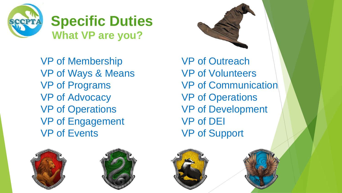

**Specific Duties What VP are you?**

VP of Membership VP of Ways & Means VP of Programs VP of Advocacy VP of Operations VP of Engagement VP of Events

VP of Outreach VP of Volunteers VP of Communication VP of Operations VP of Development VP of DEI VP of Support







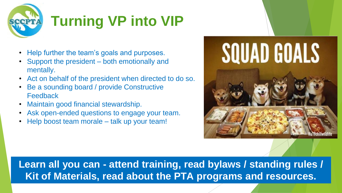

- Help further the team's goals and purposes.
- Support the president both emotionally and mentally.
- Act on behalf of the president when directed to do so.
- Be a sounding board / provide Constructive **Feedback**
- Maintain good financial stewardship.
- Ask open-ended questions to engage your team.
- Help boost team morale talk up your team!



**Learn all you can - attend training, read bylaws / standing rules / Kit of Materials, read about the PTA programs and resources.**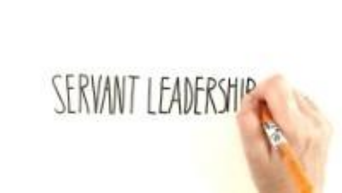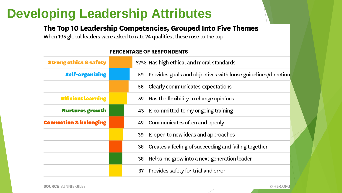## **Developing Leadership Attributes**

#### The Top 10 Leadership Competencies, Grouped Into Five Themes

When 195 global leaders were asked to rate 74 qualities, these rose to the top.

| <b>Strong ethics &amp; safety</b> | 67% Has high ethical and moral standards                            |
|-----------------------------------|---------------------------------------------------------------------|
| <b>Self-organizing</b>            | Provides goals and objectives with loose guidelines/direction<br>59 |
|                                   | 56 Clearly communicates expectations                                |
| <b>Efficient learning</b>         | 52 Has the flexibility to change opinions                           |
| <b>Nurtures growth</b>            | 43 Is committed to my ongoing training                              |
| <b>Connection &amp; belonging</b> | 42 Communicates often and openly                                    |
|                                   | Is open to new ideas and approaches<br>39                           |
|                                   | Creates a feeling of succeeding and failing together<br>38          |
|                                   | Helps me grow into a next-generation leader<br>38                   |
|                                   | Provides safety for trial and error<br>37                           |

#### **PERCENTAGE OF RESPONDENTS**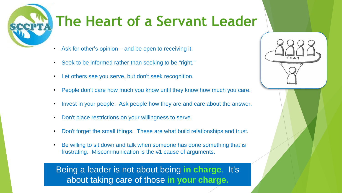# **The Heart of a Servant Leader**

- Ask for other's opinion and be open to receiving it.
- Seek to be informed rather than seeking to be "right."
- Let others see you serve, but don't seek recognition.
- People don't care how much you know until they know how much you care.
- Invest in your people. Ask people how they are and care about the answer.
- Don't place restrictions on your willingness to serve.
- Don't forget the small things. These are what build relationships and trust.
- Be willing to sit down and talk when someone has done something that is frustrating. Miscommunication is the #1 cause of arguments.

Being a leader is not about being **in charge**. It's about taking care of those **in your charge.**